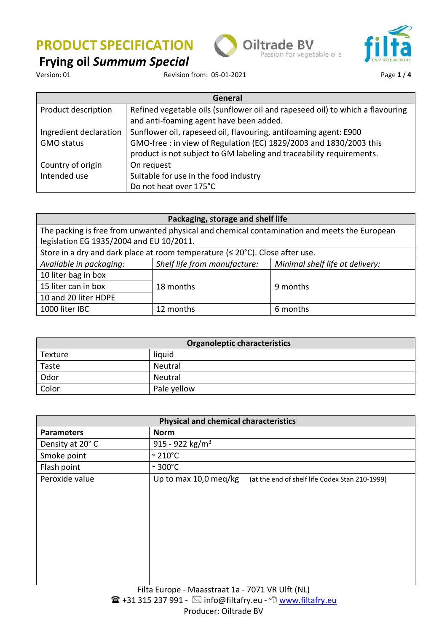**Frying oil** *Summum Special*







Revision from: 05-01-2021 **Page 1/4** 

| General                |                                                                               |  |
|------------------------|-------------------------------------------------------------------------------|--|
| Product description    | Refined vegetable oils (sunflower oil and rapeseed oil) to which a flavouring |  |
|                        | and anti-foaming agent have been added.                                       |  |
| Ingredient declaration | Sunflower oil, rapeseed oil, flavouring, antifoaming agent: E900              |  |
| <b>GMO status</b>      | GMO-free : in view of Regulation (EC) 1829/2003 and 1830/2003 this            |  |
|                        | product is not subject to GM labeling and traceability requirements.          |  |
| Country of origin      | On request                                                                    |  |
| Intended use           | Suitable for use in the food industry                                         |  |
|                        | Do not heat over 175°C                                                        |  |

| Packaging, storage and shelf life                                                                                                        |                              |                                 |  |
|------------------------------------------------------------------------------------------------------------------------------------------|------------------------------|---------------------------------|--|
| The packing is free from unwanted physical and chemical contamination and meets the European<br>legislation EG 1935/2004 and EU 10/2011. |                              |                                 |  |
| Store in a dry and dark place at room temperature ( $\leq 20^{\circ}$ C). Close after use.                                               |                              |                                 |  |
| Available in packaging:                                                                                                                  | Shelf life from manufacture: | Minimal shelf life at delivery: |  |
| 10 liter bag in box                                                                                                                      |                              |                                 |  |
| 15 liter can in box                                                                                                                      | 18 months                    | 9 months                        |  |
| 10 and 20 liter HDPE                                                                                                                     |                              |                                 |  |
| 1000 liter IBC                                                                                                                           | 12 months                    | 6 months                        |  |

| Organoleptic characteristics |             |  |
|------------------------------|-------------|--|
| Texture                      | liquid      |  |
| Taste                        | Neutral     |  |
| Odor                         | Neutral     |  |
| Color                        | Pale yellow |  |

| <b>Physical and chemical characteristics</b> |                                                                         |  |  |
|----------------------------------------------|-------------------------------------------------------------------------|--|--|
| <b>Parameters</b>                            | <b>Norm</b>                                                             |  |  |
| Density at 20°C                              | 915 - 922 kg/m <sup>3</sup>                                             |  |  |
| Smoke point                                  | $\sim$ 210°C                                                            |  |  |
| Flash point                                  | $\sim$ 300°C                                                            |  |  |
| Peroxide value                               | Up to max 10,0 meg/kg<br>(at the end of shelf life Codex Stan 210-1999) |  |  |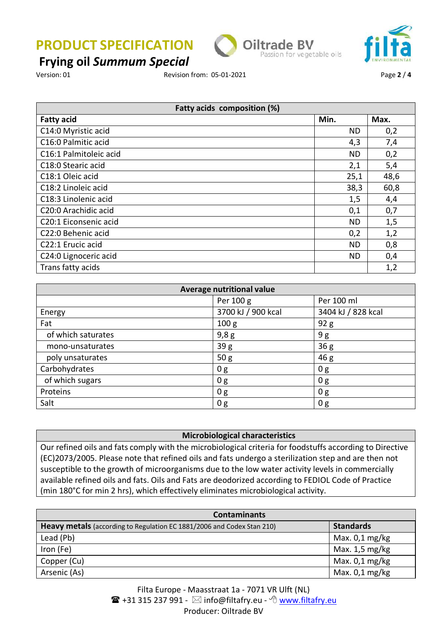

## **Frying oil** *Summum Special*

Version: 01 Revision from: 05-01-2021 Page **2** / **4**

| Fatty acids composition (%) |           |      |
|-----------------------------|-----------|------|
| <b>Fatty acid</b>           | Min.      | Max. |
| C14:0 Myristic acid         | ND        | 0,2  |
| C16:0 Palmitic acid         | 4,3       | 7,4  |
| C16:1 Palmitoleic acid      | ND        | 0,2  |
| C18:0 Stearic acid          | 2,1       | 5,4  |
| C18:1 Oleic acid            | 25,1      | 48,6 |
| C18:2 Linoleic acid         | 38,3      | 60,8 |
| C18:3 Linolenic acid        | 1,5       | 4,4  |
| C20:0 Arachidic acid        | 0,1       | 0,7  |
| C20:1 Eiconsenic acid       | <b>ND</b> | 1,5  |
| C22:0 Behenic acid          | 0,2       | 1,2  |
| C22:1 Erucic acid           | <b>ND</b> | 0,8  |
| C24:0 Lignoceric acid       | <b>ND</b> | 0,4  |
| Trans fatty acids           |           | 1,2  |

| <b>Average nutritional value</b> |                    |                    |  |
|----------------------------------|--------------------|--------------------|--|
|                                  | Per 100 g          | Per 100 ml         |  |
| Energy                           | 3700 kJ / 900 kcal | 3404 kJ / 828 kcal |  |
| Fat                              | 100 <sub>g</sub>   | 92 g               |  |
| of which saturates               | 9,8g               | 9g                 |  |
| mono-unsaturates                 | 39g                | 36 <sub>g</sub>    |  |
| poly unsaturates                 | 50 <sub>g</sub>    | 46 g               |  |
| Carbohydrates                    | 0 g                | 0g                 |  |
| of which sugars                  | 0 <sub>g</sub>     | 0 <sub>g</sub>     |  |
| Proteins                         | 0g                 | 0g                 |  |
| Salt                             | 0 <sub>g</sub>     | 0 g                |  |

### **Microbiological characteristics**

Our refined oils and fats comply with the microbiological criteria for foodstuffs according to Directive (EC)2073/2005. Please note that refined oils and fats undergo a sterilization step and are then not susceptible to the growth of microorganisms due to the low water activity levels in commercially available refined oils and fats. Oils and Fats are deodorized according to FEDIOL Code of Practice (min 180°C for min 2 hrs), which effectively eliminates microbiological activity.

| <b>Contaminants</b>                                                           |                  |  |
|-------------------------------------------------------------------------------|------------------|--|
| <b>Heavy metals</b> (according to Regulation EC 1881/2006 and Codex Stan 210) | <b>Standards</b> |  |
| Lead (Pb)                                                                     | Max. $0,1$ mg/kg |  |
| Iron (Fe)                                                                     | Max. 1,5 mg/kg   |  |
| Copper (Cu)                                                                   | Max. $0,1$ mg/kg |  |
| Arsenic (As)                                                                  | Max. $0,1$ mg/kg |  |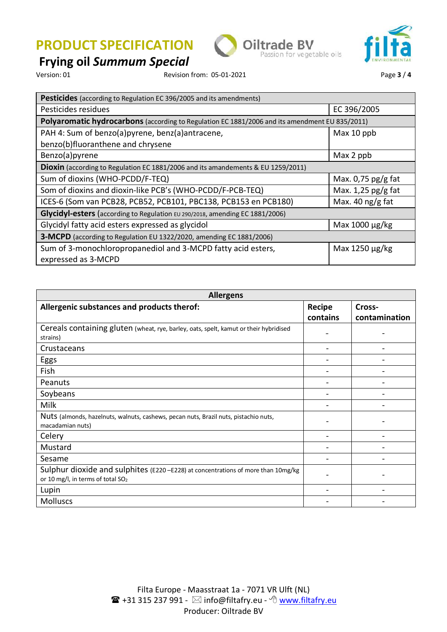

# **Frying oil** *Summum Special*

Revision from: 05-01-2021 **Page 3** / 4

| <b>Pesticides</b> (according to Regulation EC 396/2005 and its amendments)                     |                           |  |
|------------------------------------------------------------------------------------------------|---------------------------|--|
| Pesticides residues                                                                            | EC 396/2005               |  |
| Polyaromatic hydrocarbons (according to Regulation EC 1881/2006 and its amendment EU 835/2011) |                           |  |
| PAH 4: Sum of benzo(a)pyrene, benz(a)antracene,                                                | Max 10 ppb                |  |
| benzo(b)fluoranthene and chrysene                                                              |                           |  |
| Benzo(a)pyrene                                                                                 | Max 2 ppb                 |  |
| Dioxin (according to Regulation EC 1881/2006 and its amandements & EU 1259/2011)               |                           |  |
| Sum of dioxins (WHO-PCDD/F-TEQ)                                                                | Max. $0.75$ pg/g fat      |  |
| Som of dioxins and dioxin-like PCB's (WHO-PCDD/F-PCB-TEQ)                                      | Max. $1,25$ pg/g fat      |  |
| ICES-6 (Som van PCB28, PCB52, PCB101, PBC138, PCB153 en PCB180)                                | Max. 40 $\frac{1}{2}$ fat |  |
| Glycidyl-esters (according to Regulation EU 290/2018, amending EC 1881/2006)                   |                           |  |
| Glycidyl fatty acid esters expressed as glycidol                                               | Max $1000 \mu g/kg$       |  |
| 3-MCPD (according to Regulation EU 1322/2020, amending EC 1881/2006)                           |                           |  |
| Sum of 3-monochloropropanediol and 3-MCPD fatty acid esters,<br>expressed as 3-MCPD            | Max 1250 µg/kg            |  |
|                                                                                                |                           |  |

| <b>Allergens</b>                                                                                                                    |                           |                         |
|-------------------------------------------------------------------------------------------------------------------------------------|---------------------------|-------------------------|
| Allergenic substances and products therof:                                                                                          | <b>Recipe</b><br>contains | Cross-<br>contamination |
| Cereals containing gluten (wheat, rye, barley, oats, spelt, kamut or their hybridised<br>strains)                                   |                           |                         |
| Crustaceans                                                                                                                         |                           |                         |
| Eggs                                                                                                                                |                           |                         |
| Fish                                                                                                                                |                           |                         |
| Peanuts                                                                                                                             |                           |                         |
| Soybeans                                                                                                                            |                           |                         |
| <b>Milk</b>                                                                                                                         |                           |                         |
| Nuts (almonds, hazelnuts, walnuts, cashews, pecan nuts, Brazil nuts, pistachio nuts,<br>macadamian nuts)                            |                           |                         |
| Celery                                                                                                                              |                           |                         |
| Mustard                                                                                                                             |                           |                         |
| Sesame                                                                                                                              |                           |                         |
| Sulphur dioxide and sulphites (E220 - E228) at concentrations of more than 10mg/kg<br>or 10 mg/l, in terms of total SO <sub>2</sub> |                           |                         |
| Lupin                                                                                                                               |                           |                         |
| <b>Molluscs</b>                                                                                                                     |                           |                         |